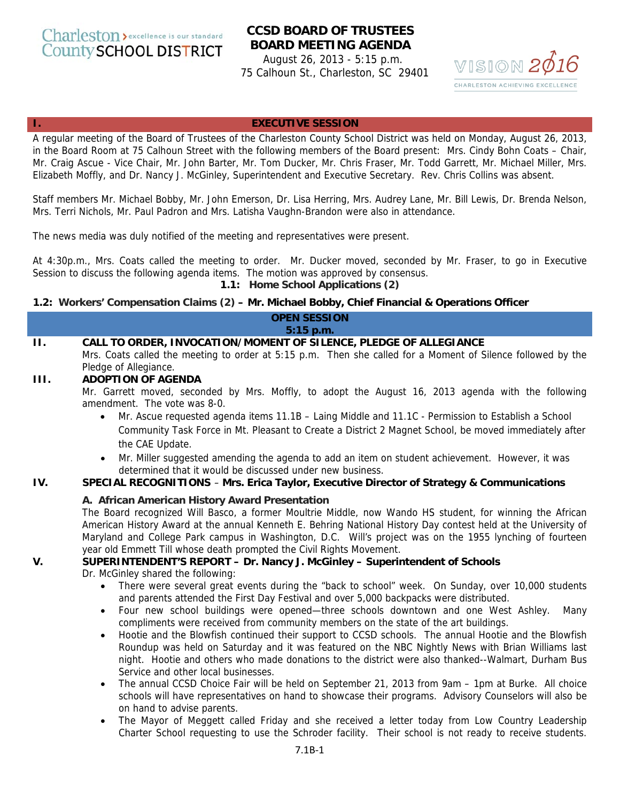Charleston > excellence is our standard **County SCHOOL DISTRICT** 

# **CCSD BOARD OF TRUSTEES BOARD MEETING AGENDA**

August 26, 2013 - 5:15 p.m. 75 Calhoun St., Charleston, SC 29401



#### **I. EXECUTIVE SESSION**

A regular meeting of the Board of Trustees of the Charleston County School District was held on Monday, August 26, 2013, in the Board Room at 75 Calhoun Street with the following members of the Board present: Mrs. Cindy Bohn Coats – Chair, Mr. Craig Ascue - Vice Chair, Mr. John Barter, Mr. Tom Ducker, Mr. Chris Fraser, Mr. Todd Garrett, Mr. Michael Miller, Mrs. Elizabeth Moffly, and Dr. Nancy J. McGinley, Superintendent and Executive Secretary. Rev. Chris Collins was absent.

Staff members Mr. Michael Bobby, Mr. John Emerson, Dr. Lisa Herring, Mrs. Audrey Lane, Mr. Bill Lewis, Dr. Brenda Nelson, Mrs. Terri Nichols, Mr. Paul Padron and Mrs. Latisha Vaughn-Brandon were also in attendance.

The news media was duly notified of the meeting and representatives were present.

At 4:30p.m., Mrs. Coats called the meeting to order. Mr. Ducker moved, seconded by Mr. Fraser, to go in Executive Session to discuss the following agenda items. The motion was approved by consensus.

**1.1: Home School Applications (2)**

#### **1.2: Workers' Compensation Claims (2) – Mr. Michael Bobby, Chief Financial & Operations Officer**

**OPEN SESSION 5:15 p.m.** 

**II. CALL TO ORDER, INVOCATION/MOMENT OF SILENCE, PLEDGE OF ALLEGIANCE**  Mrs. Coats called the meeting to order at 5:15 p.m. Then she called for a Moment of Silence followed by the Pledge of Allegiance.

### **III. ADOPTION OF AGENDA**

Mr. Garrett moved, seconded by Mrs. Moffly, to adopt the August 16, 2013 agenda with the following amendment. The vote was 8-0.

- Mr. Ascue requested agenda items 11.1B Laing Middle and 11.1C Permission to Establish a School Community Task Force in Mt. Pleasant to Create a District 2 Magnet School, be moved immediately after the CAE Update.
- Mr. Miller suggested amending the agenda to add an item on student achievement. However, it was determined that it would be discussed under new business.

# **IV. SPECIAL RECOGNITIONS** – **Mrs. Erica Taylor, Executive Director of Strategy & Communications**

#### **A. African American History Award Presentation**

The Board recognized Will Basco, a former Moultrie Middle, now Wando HS student, for winning the African American History Award at the annual Kenneth E. Behring National History Day contest held at the University of Maryland and College Park campus in Washington, D.C. Will's project was on the 1955 lynching of fourteen year old Emmett Till whose death prompted the Civil Rights Movement.

#### **V. SUPERINTENDENT'S REPORT – Dr. Nancy J. McGinley – Superintendent of Schools**

Dr. McGinley shared the following:

- There were several great events during the "back to school" week. On Sunday, over 10,000 students and parents attended the First Day Festival and over 5,000 backpacks were distributed.
- Four new school buildings were opened—three schools downtown and one West Ashley. Many compliments were received from community members on the state of the art buildings.
- Hootie and the Blowfish continued their support to CCSD schools. The annual Hootie and the Blowfish Roundup was held on Saturday and it was featured on the NBC Nightly News with Brian Williams last night. Hootie and others who made donations to the district were also thanked--Walmart, Durham Bus Service and other local businesses.
- The annual CCSD Choice Fair will be held on September 21, 2013 from 9am 1pm at Burke. All choice schools will have representatives on hand to showcase their programs. Advisory Counselors will also be on hand to advise parents.
- The Mayor of Meggett called Friday and she received a letter today from Low Country Leadership Charter School requesting to use the Schroder facility. Their school is not ready to receive students.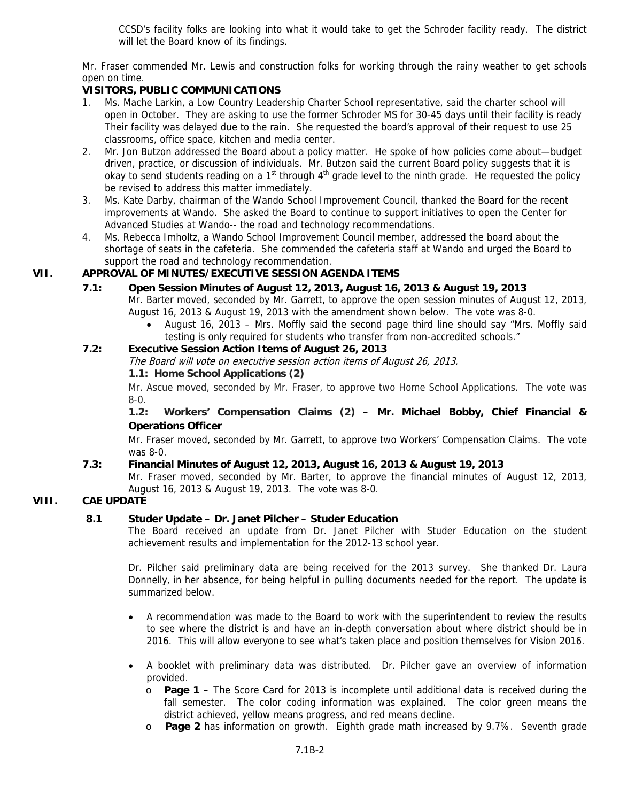CCSD's facility folks are looking into what it would take to get the Schroder facility ready. The district will let the Board know of its findings.

Mr. Fraser commended Mr. Lewis and construction folks for working through the rainy weather to get schools open on time.

# **VISITORS, PUBLIC COMMUNICATIONS**

- 1. Ms. Mache Larkin, a Low Country Leadership Charter School representative, said the charter school will open in October. They are asking to use the former Schroder MS for 30-45 days until their facility is ready Their facility was delayed due to the rain. She requested the board's approval of their request to use 25 classrooms, office space, kitchen and media center.
- 2. Mr. Jon Butzon addressed the Board about a policy matter. He spoke of how policies come about—budget driven, practice, or discussion of individuals. Mr. Butzon said the current Board policy suggests that it is okay to send students reading on a 1<sup>st</sup> through  $4<sup>th</sup>$  grade level to the ninth grade. He requested the policy be revised to address this matter immediately.
- 3. Ms. Kate Darby, chairman of the Wando School Improvement Council, thanked the Board for the recent improvements at Wando. She asked the Board to continue to support initiatives to open the Center for Advanced Studies at Wando-- the road and technology recommendations.
- 4. Ms. Rebecca Imholtz, a Wando School Improvement Council member, addressed the board about the shortage of seats in the cafeteria. She commended the cafeteria staff at Wando and urged the Board to support the road and technology recommendation.

# **VII. APPROVAL OF MINUTES/EXECUTIVE SESSION AGENDA ITEMS**

- **7.1: Open Session Minutes of August 12, 2013, August 16, 2013 & August 19, 2013**  Mr. Barter moved, seconded by Mr. Garrett, to approve the open session minutes of August 12, 2013, August 16, 2013 & August 19, 2013 with the amendment shown below. The vote was 8-0.
	- August 16, 2013 Mrs. Moffly said the second page third line should say "Mrs. Moffly said testing is only required for students who transfer from non-accredited schools."

# **7.2: Executive Session Action Items of August 26, 2013**

The Board will vote on executive session action items of August 26, 2013.

# **1.1: Home School Applications (2)**

Mr. Ascue moved, seconded by Mr. Fraser, to approve two Home School Applications. The vote was 8-0.

**1.2: Workers' Compensation Claims (2) – Mr. Michael Bobby, Chief Financial & Operations Officer**

Mr. Fraser moved, seconded by Mr. Garrett, to approve two Workers' Compensation Claims. The vote was 8-0.

# **7.3: Financial Minutes of August 12, 2013, August 16, 2013 & August 19, 2013**

Mr. Fraser moved, seconded by Mr. Barter, to approve the financial minutes of August 12, 2013, August 16, 2013 & August 19, 2013. The vote was 8-0.

# **VIII. CAE UPDATE**

# **8.1 Studer Update – Dr. Janet Pilcher – Studer Education**

The Board received an update from Dr. Janet Pilcher with Studer Education on the student achievement results and implementation for the 2012-13 school year.

Dr. Pilcher said preliminary data are being received for the 2013 survey. She thanked Dr. Laura Donnelly, in her absence, for being helpful in pulling documents needed for the report. The update is summarized below.

- A recommendation was made to the Board to work with the superintendent to review the results to see where the district is and have an in-depth conversation about where district should be in 2016. This will allow everyone to see what's taken place and position themselves for Vision 2016.
- A booklet with preliminary data was distributed. Dr. Pilcher gave an overview of information provided.
	- o **Page 1** The Score Card for 2013 is incomplete until additional data is received during the fall semester. The color coding information was explained. The color green means the district achieved, yellow means progress, and red means decline.
	- o **Page 2** has information on growth. Eighth grade math increased by 9.7%. Seventh grade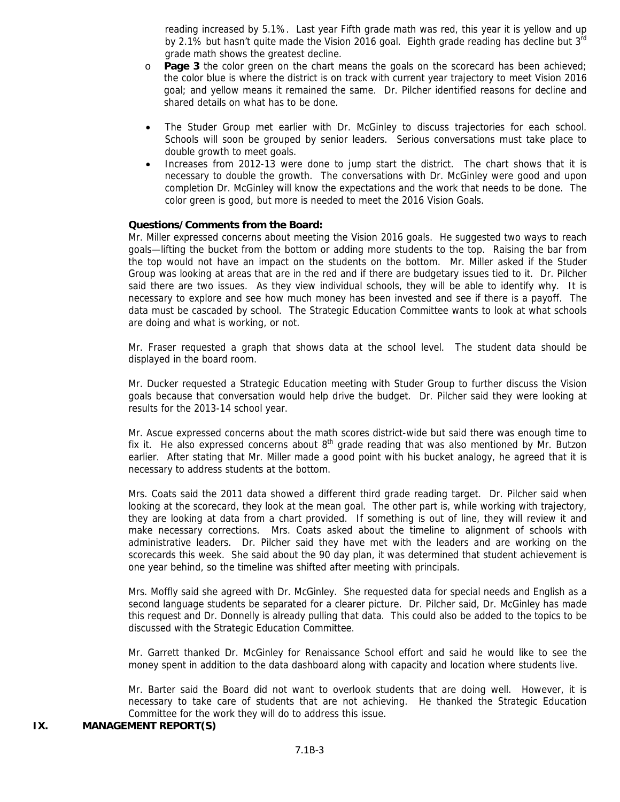reading increased by 5.1%. Last year Fifth grade math was red, this year it is yellow and up by 2.1% but hasn't quite made the Vision 2016 goal. Eighth grade reading has decline but 3rd grade math shows the greatest decline.

- o **Page 3** the color green on the chart means the goals on the scorecard has been achieved; the color blue is where the district is on track with current year trajectory to meet Vision 2016 goal; and yellow means it remained the same. Dr. Pilcher identified reasons for decline and shared details on what has to be done.
- The Studer Group met earlier with Dr. McGinley to discuss trajectories for each school. Schools will soon be grouped by senior leaders. Serious conversations must take place to double growth to meet goals.
- Increases from 2012-13 were done to jump start the district. The chart shows that it is necessary to double the growth. The conversations with Dr. McGinley were good and upon completion Dr. McGinley will know the expectations and the work that needs to be done. The color green is good, but more is needed to meet the 2016 Vision Goals.

#### **Questions/Comments from the Board:**

Mr. Miller expressed concerns about meeting the Vision 2016 goals. He suggested two ways to reach goals—lifting the bucket from the bottom or adding more students to the top. Raising the bar from the top would not have an impact on the students on the bottom. Mr. Miller asked if the Studer Group was looking at areas that are in the red and if there are budgetary issues tied to it. Dr. Pilcher said there are two issues. As they view individual schools, they will be able to identify why. It is necessary to explore and see how much money has been invested and see if there is a payoff. The data must be cascaded by school. The Strategic Education Committee wants to look at what schools are doing and what is working, or not.

Mr. Fraser requested a graph that shows data at the school level. The student data should be displayed in the board room.

Mr. Ducker requested a Strategic Education meeting with Studer Group to further discuss the Vision goals because that conversation would help drive the budget. Dr. Pilcher said they were looking at results for the 2013-14 school year.

Mr. Ascue expressed concerns about the math scores district-wide but said there was enough time to fix it. He also expressed concerns about  $8<sup>th</sup>$  grade reading that was also mentioned by Mr. Butzon earlier. After stating that Mr. Miller made a good point with his bucket analogy, he agreed that it is necessary to address students at the bottom.

Mrs. Coats said the 2011 data showed a different third grade reading target. Dr. Pilcher said when looking at the scorecard, they look at the mean goal. The other part is, while working with trajectory, they are looking at data from a chart provided. If something is out of line, they will review it and make necessary corrections. Mrs. Coats asked about the timeline to alignment of schools with administrative leaders. Dr. Pilcher said they have met with the leaders and are working on the scorecards this week. She said about the 90 day plan, it was determined that student achievement is one year behind, so the timeline was shifted after meeting with principals.

Mrs. Moffly said she agreed with Dr. McGinley. She requested data for special needs and English as a second language students be separated for a clearer picture. Dr. Pilcher said, Dr. McGinley has made this request and Dr. Donnelly is already pulling that data. This could also be added to the topics to be discussed with the Strategic Education Committee.

Mr. Garrett thanked Dr. McGinley for Renaissance School effort and said he would like to see the money spent in addition to the data dashboard along with capacity and location where students live.

Mr. Barter said the Board did not want to overlook students that are doing well. However, it is necessary to take care of students that are not achieving. He thanked the Strategic Education Committee for the work they will do to address this issue.

#### **IX. MANAGEMENT REPORT(S)**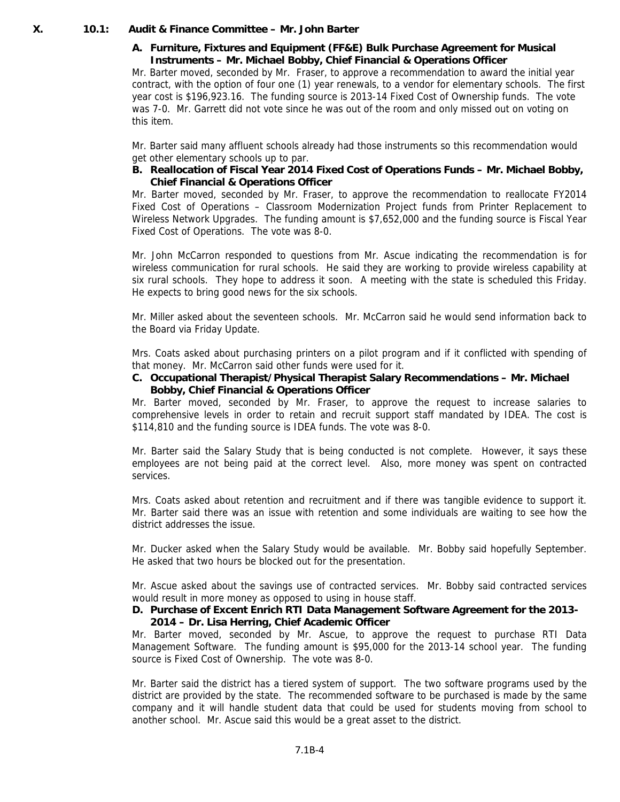### **X. 10.1: Audit & Finance Committee – Mr. John Barter**

### **A. Furniture, Fixtures and Equipment (FF&E) Bulk Purchase Agreement for Musical Instruments – Mr. Michael Bobby, Chief Financial & Operations Officer**

Mr. Barter moved, seconded by Mr. Fraser, to approve a recommendation to award the initial year contract, with the option of four one (1) year renewals, to a vendor for elementary schools. The first year cost is \$196,923.16. The funding source is 2013-14 Fixed Cost of Ownership funds. The vote was 7-0. Mr. Garrett did not vote since he was out of the room and only missed out on voting on this item.

Mr. Barter said many affluent schools already had those instruments so this recommendation would get other elementary schools up to par.

**B. Reallocation of Fiscal Year 2014 Fixed Cost of Operations Funds – Mr. Michael Bobby, Chief Financial & Operations Officer** 

Mr. Barter moved, seconded by Mr. Fraser, to approve the recommendation to reallocate FY2014 Fixed Cost of Operations – Classroom Modernization Project funds from Printer Replacement to Wireless Network Upgrades. The funding amount is \$7,652,000 and the funding source is Fiscal Year Fixed Cost of Operations. The vote was 8-0.

Mr. John McCarron responded to questions from Mr. Ascue indicating the recommendation is for wireless communication for rural schools. He said they are working to provide wireless capability at six rural schools. They hope to address it soon. A meeting with the state is scheduled this Friday. He expects to bring good news for the six schools.

Mr. Miller asked about the seventeen schools. Mr. McCarron said he would send information back to the Board via Friday Update.

Mrs. Coats asked about purchasing printers on a pilot program and if it conflicted with spending of that money. Mr. McCarron said other funds were used for it.

#### **C. Occupational Therapist/Physical Therapist Salary Recommendations – Mr. Michael Bobby, Chief Financial & Operations Officer**

Mr. Barter moved, seconded by Mr. Fraser, to approve the request to increase salaries to comprehensive levels in order to retain and recruit support staff mandated by IDEA. The cost is \$114,810 and the funding source is IDEA funds. The vote was 8-0.

Mr. Barter said the Salary Study that is being conducted is not complete. However, it says these employees are not being paid at the correct level. Also, more money was spent on contracted services.

Mrs. Coats asked about retention and recruitment and if there was tangible evidence to support it. Mr. Barter said there was an issue with retention and some individuals are waiting to see how the district addresses the issue.

Mr. Ducker asked when the Salary Study would be available. Mr. Bobby said hopefully September. He asked that two hours be blocked out for the presentation.

Mr. Ascue asked about the savings use of contracted services. Mr. Bobby said contracted services would result in more money as opposed to using in house staff.

# **D. Purchase of Excent Enrich RTI Data Management Software Agreement for the 2013- 2014 – Dr. Lisa Herring, Chief Academic Officer**

Mr. Barter moved, seconded by Mr. Ascue, to approve the request to purchase RTI Data Management Software. The funding amount is \$95,000 for the 2013-14 school year. The funding source is Fixed Cost of Ownership. The vote was 8-0.

Mr. Barter said the district has a tiered system of support. The two software programs used by the district are provided by the state. The recommended software to be purchased is made by the same company and it will handle student data that could be used for students moving from school to another school. Mr. Ascue said this would be a great asset to the district.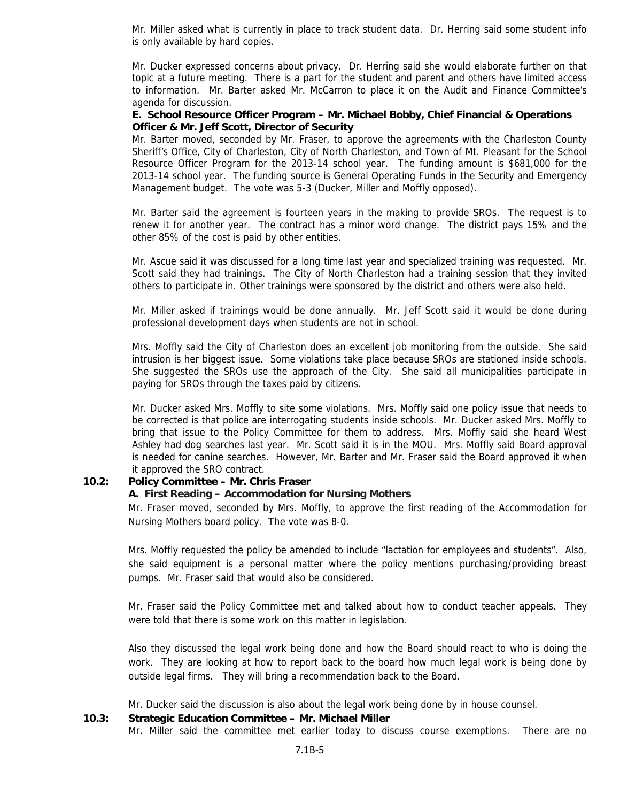Mr. Miller asked what is currently in place to track student data. Dr. Herring said some student info is only available by hard copies.

Mr. Ducker expressed concerns about privacy. Dr. Herring said she would elaborate further on that topic at a future meeting. There is a part for the student and parent and others have limited access to information. Mr. Barter asked Mr. McCarron to place it on the Audit and Finance Committee's agenda for discussion.

#### **E. School Resource Officer Program – Mr. Michael Bobby, Chief Financial & Operations Officer & Mr. Jeff Scott, Director of Security**

Mr. Barter moved, seconded by Mr. Fraser, to approve the agreements with the Charleston County Sheriff's Office, City of Charleston, City of North Charleston, and Town of Mt. Pleasant for the School Resource Officer Program for the 2013-14 school year. The funding amount is \$681,000 for the 2013-14 school year. The funding source is General Operating Funds in the Security and Emergency Management budget. The vote was 5-3 (Ducker, Miller and Moffly opposed).

Mr. Barter said the agreement is fourteen years in the making to provide SROs. The request is to renew it for another year. The contract has a minor word change. The district pays 15% and the other 85% of the cost is paid by other entities.

Mr. Ascue said it was discussed for a long time last year and specialized training was requested. Mr. Scott said they had trainings. The City of North Charleston had a training session that they invited others to participate in. Other trainings were sponsored by the district and others were also held.

Mr. Miller asked if trainings would be done annually. Mr. Jeff Scott said it would be done during professional development days when students are not in school.

Mrs. Moffly said the City of Charleston does an excellent job monitoring from the outside. She said intrusion is her biggest issue. Some violations take place because SROs are stationed inside schools. She suggested the SROs use the approach of the City. She said all municipalities participate in paying for SROs through the taxes paid by citizens.

Mr. Ducker asked Mrs. Moffly to site some violations. Mrs. Moffly said one policy issue that needs to be corrected is that police are interrogating students inside schools. Mr. Ducker asked Mrs. Moffly to bring that issue to the Policy Committee for them to address. Mrs. Moffly said she heard West Ashley had dog searches last year. Mr. Scott said it is in the MOU. Mrs. Moffly said Board approval is needed for canine searches. However, Mr. Barter and Mr. Fraser said the Board approved it when it approved the SRO contract.

#### **10.2: Policy Committee – Mr. Chris Fraser**

#### **A. First Reading – Accommodation for Nursing Mothers**

Mr. Fraser moved, seconded by Mrs. Moffly, to approve the first reading of the Accommodation for Nursing Mothers board policy. The vote was 8-0.

Mrs. Moffly requested the policy be amended to include "lactation for employees and students". Also, she said equipment is a personal matter where the policy mentions purchasing/providing breast pumps. Mr. Fraser said that would also be considered.

Mr. Fraser said the Policy Committee met and talked about how to conduct teacher appeals. They were told that there is some work on this matter in legislation.

Also they discussed the legal work being done and how the Board should react to who is doing the work. They are looking at how to report back to the board how much legal work is being done by outside legal firms. They will bring a recommendation back to the Board.

Mr. Ducker said the discussion is also about the legal work being done by in house counsel.

#### **10.3: Strategic Education Committee – Mr. Michael Miller**

Mr. Miller said the committee met earlier today to discuss course exemptions. There are no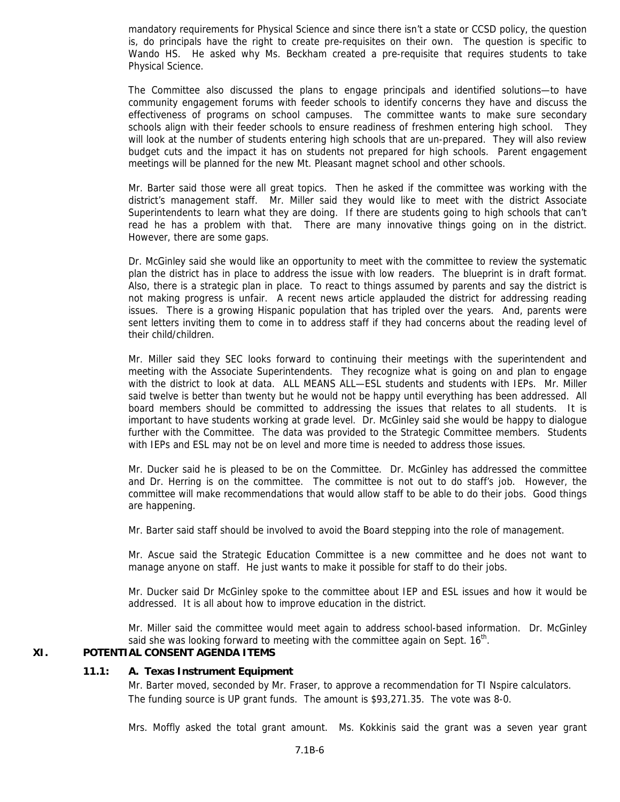mandatory requirements for Physical Science and since there isn't a state or CCSD policy, the question is, do principals have the right to create pre-requisites on their own. The question is specific to Wando HS. He asked why Ms. Beckham created a pre-requisite that requires students to take Physical Science.

The Committee also discussed the plans to engage principals and identified solutions—to have community engagement forums with feeder schools to identify concerns they have and discuss the effectiveness of programs on school campuses. The committee wants to make sure secondary schools align with their feeder schools to ensure readiness of freshmen entering high school. They will look at the number of students entering high schools that are un-prepared. They will also review budget cuts and the impact it has on students not prepared for high schools. Parent engagement meetings will be planned for the new Mt. Pleasant magnet school and other schools.

Mr. Barter said those were all great topics. Then he asked if the committee was working with the district's management staff. Mr. Miller said they would like to meet with the district Associate Superintendents to learn what they are doing. If there are students going to high schools that can't read he has a problem with that. There are many innovative things going on in the district. However, there are some gaps.

Dr. McGinley said she would like an opportunity to meet with the committee to review the systematic plan the district has in place to address the issue with low readers. The blueprint is in draft format. Also, there is a strategic plan in place. To react to things assumed by parents and say the district is not making progress is unfair. A recent news article applauded the district for addressing reading issues. There is a growing Hispanic population that has tripled over the years. And, parents were sent letters inviting them to come in to address staff if they had concerns about the reading level of their child/children.

Mr. Miller said they SEC looks forward to continuing their meetings with the superintendent and meeting with the Associate Superintendents. They recognize what is going on and plan to engage with the district to look at data. ALL MEANS ALL—ESL students and students with IEPs. Mr. Miller said twelve is better than twenty but he would not be happy until everything has been addressed. All board members should be committed to addressing the issues that relates to all students. It is important to have students working at grade level. Dr. McGinley said she would be happy to dialogue further with the Committee. The data was provided to the Strategic Committee members. Students with IEPs and ESL may not be on level and more time is needed to address those issues.

Mr. Ducker said he is pleased to be on the Committee. Dr. McGinley has addressed the committee and Dr. Herring is on the committee. The committee is not out to do staff's job. However, the committee will make recommendations that would allow staff to be able to do their jobs. Good things are happening.

Mr. Barter said staff should be involved to avoid the Board stepping into the role of management.

Mr. Ascue said the Strategic Education Committee is a new committee and he does not want to manage anyone on staff. He just wants to make it possible for staff to do their jobs.

Mr. Ducker said Dr McGinley spoke to the committee about IEP and ESL issues and how it would be addressed. It is all about how to improve education in the district.

Mr. Miller said the committee would meet again to address school-based information. Dr. McGinley said she was looking forward to meeting with the committee again on Sept.  $16<sup>th</sup>$ .

# **XI. POTENTIAL CONSENT AGENDA ITEMS**

#### **11.1: A. Texas Instrument Equipment**

Mr. Barter moved, seconded by Mr. Fraser, to approve a recommendation for TI Nspire calculators. The funding source is UP grant funds. The amount is \$93,271.35. The vote was 8-0.

Mrs. Moffly asked the total grant amount. Ms. Kokkinis said the grant was a seven year grant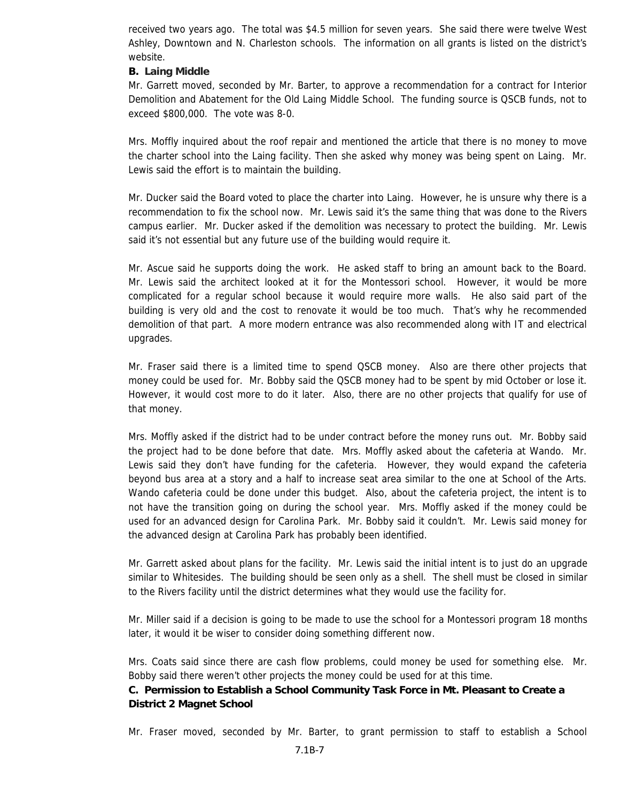received two years ago. The total was \$4.5 million for seven years. She said there were twelve West Ashley, Downtown and N. Charleston schools. The information on all grants is listed on the district's website.

#### **B. Laing Middle**

Mr. Garrett moved, seconded by Mr. Barter, to approve a recommendation for a contract for Interior Demolition and Abatement for the Old Laing Middle School. The funding source is QSCB funds, not to exceed \$800,000. The vote was 8-0.

Mrs. Moffly inquired about the roof repair and mentioned the article that there is no money to move the charter school into the Laing facility. Then she asked why money was being spent on Laing. Mr. Lewis said the effort is to maintain the building.

Mr. Ducker said the Board voted to place the charter into Laing. However, he is unsure why there is a recommendation to fix the school now. Mr. Lewis said it's the same thing that was done to the Rivers campus earlier. Mr. Ducker asked if the demolition was necessary to protect the building. Mr. Lewis said it's not essential but any future use of the building would require it.

Mr. Ascue said he supports doing the work. He asked staff to bring an amount back to the Board. Mr. Lewis said the architect looked at it for the Montessori school. However, it would be more complicated for a regular school because it would require more walls. He also said part of the building is very old and the cost to renovate it would be too much. That's why he recommended demolition of that part. A more modern entrance was also recommended along with IT and electrical upgrades.

Mr. Fraser said there is a limited time to spend QSCB money. Also are there other projects that money could be used for. Mr. Bobby said the QSCB money had to be spent by mid October or lose it. However, it would cost more to do it later. Also, there are no other projects that qualify for use of that money.

Mrs. Moffly asked if the district had to be under contract before the money runs out. Mr. Bobby said the project had to be done before that date. Mrs. Moffly asked about the cafeteria at Wando. Mr. Lewis said they don't have funding for the cafeteria. However, they would expand the cafeteria beyond bus area at a story and a half to increase seat area similar to the one at School of the Arts. Wando cafeteria could be done under this budget. Also, about the cafeteria project, the intent is to not have the transition going on during the school year. Mrs. Moffly asked if the money could be used for an advanced design for Carolina Park. Mr. Bobby said it couldn't. Mr. Lewis said money for the advanced design at Carolina Park has probably been identified.

Mr. Garrett asked about plans for the facility. Mr. Lewis said the initial intent is to just do an upgrade similar to Whitesides. The building should be seen only as a shell. The shell must be closed in similar to the Rivers facility until the district determines what they would use the facility for.

Mr. Miller said if a decision is going to be made to use the school for a Montessori program 18 months later, it would it be wiser to consider doing something different now.

Mrs. Coats said since there are cash flow problems, could money be used for something else. Mr. Bobby said there weren't other projects the money could be used for at this time.

# **C. Permission to Establish a School Community Task Force in Mt. Pleasant to Create a District 2 Magnet School**

Mr. Fraser moved, seconded by Mr. Barter, to grant permission to staff to establish a School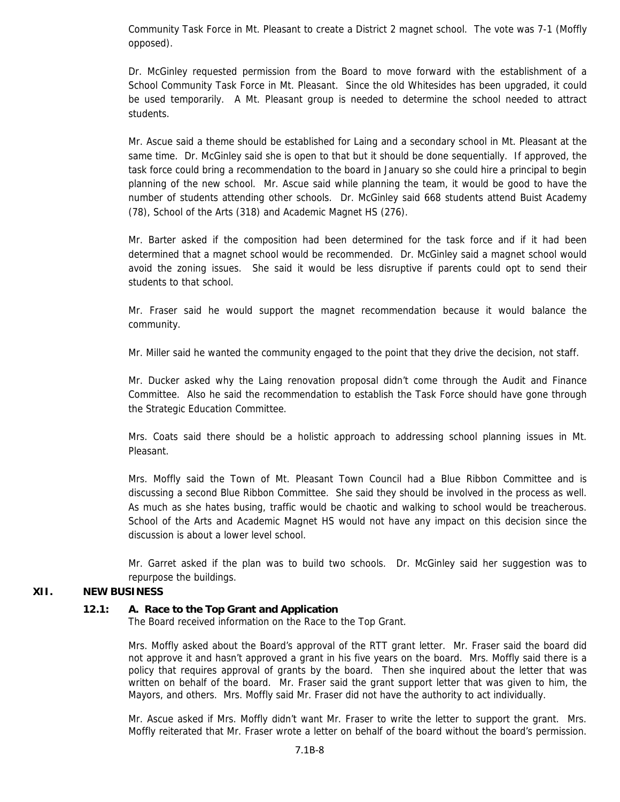Community Task Force in Mt. Pleasant to create a District 2 magnet school. The vote was 7-1 (Moffly opposed).

Dr. McGinley requested permission from the Board to move forward with the establishment of a School Community Task Force in Mt. Pleasant. Since the old Whitesides has been upgraded, it could be used temporarily. A Mt. Pleasant group is needed to determine the school needed to attract students.

Mr. Ascue said a theme should be established for Laing and a secondary school in Mt. Pleasant at the same time. Dr. McGinley said she is open to that but it should be done sequentially. If approved, the task force could bring a recommendation to the board in January so she could hire a principal to begin planning of the new school. Mr. Ascue said while planning the team, it would be good to have the number of students attending other schools. Dr. McGinley said 668 students attend Buist Academy (78), School of the Arts (318) and Academic Magnet HS (276).

Mr. Barter asked if the composition had been determined for the task force and if it had been determined that a magnet school would be recommended. Dr. McGinley said a magnet school would avoid the zoning issues. She said it would be less disruptive if parents could opt to send their students to that school.

Mr. Fraser said he would support the magnet recommendation because it would balance the community.

Mr. Miller said he wanted the community engaged to the point that they drive the decision, not staff.

Mr. Ducker asked why the Laing renovation proposal didn't come through the Audit and Finance Committee. Also he said the recommendation to establish the Task Force should have gone through the Strategic Education Committee.

Mrs. Coats said there should be a holistic approach to addressing school planning issues in Mt. Pleasant.

Mrs. Moffly said the Town of Mt. Pleasant Town Council had a Blue Ribbon Committee and is discussing a second Blue Ribbon Committee. She said they should be involved in the process as well. As much as she hates busing, traffic would be chaotic and walking to school would be treacherous. School of the Arts and Academic Magnet HS would not have any impact on this decision since the discussion is about a lower level school.

Mr. Garret asked if the plan was to build two schools. Dr. McGinley said her suggestion was to repurpose the buildings.

# **XII. NEW BUSINESS**

#### **12.1: A. Race to the Top Grant and Application**

The Board received information on the Race to the Top Grant.

Mrs. Moffly asked about the Board's approval of the RTT grant letter. Mr. Fraser said the board did not approve it and hasn't approved a grant in his five years on the board. Mrs. Moffly said there is a policy that requires approval of grants by the board. Then she inquired about the letter that was written on behalf of the board. Mr. Fraser said the grant support letter that was given to him, the Mayors, and others. Mrs. Moffly said Mr. Fraser did not have the authority to act individually.

Mr. Ascue asked if Mrs. Moffly didn't want Mr. Fraser to write the letter to support the grant. Mrs. Moffly reiterated that Mr. Fraser wrote a letter on behalf of the board without the board's permission.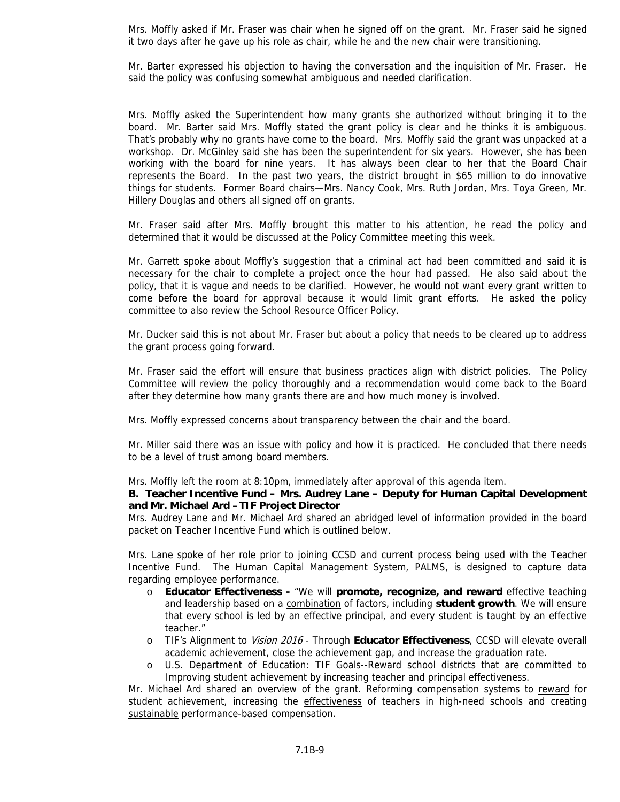Mrs. Moffly asked if Mr. Fraser was chair when he signed off on the grant. Mr. Fraser said he signed it two days after he gave up his role as chair, while he and the new chair were transitioning.

Mr. Barter expressed his objection to having the conversation and the inquisition of Mr. Fraser. He said the policy was confusing somewhat ambiguous and needed clarification.

Mrs. Moffly asked the Superintendent how many grants she authorized without bringing it to the board. Mr. Barter said Mrs. Moffly stated the grant policy is clear and he thinks it is ambiguous. That's probably why no grants have come to the board. Mrs. Moffly said the grant was unpacked at a workshop. Dr. McGinley said she has been the superintendent for six years. However, she has been working with the board for nine years. It has always been clear to her that the Board Chair represents the Board. In the past two years, the district brought in \$65 million to do innovative things for students. Former Board chairs—Mrs. Nancy Cook, Mrs. Ruth Jordan, Mrs. Toya Green, Mr. Hillery Douglas and others all signed off on grants.

Mr. Fraser said after Mrs. Moffly brought this matter to his attention, he read the policy and determined that it would be discussed at the Policy Committee meeting this week.

Mr. Garrett spoke about Moffly's suggestion that a criminal act had been committed and said it is necessary for the chair to complete a project once the hour had passed. He also said about the policy, that it is vague and needs to be clarified. However, he would not want every grant written to come before the board for approval because it would limit grant efforts. He asked the policy committee to also review the School Resource Officer Policy.

Mr. Ducker said this is not about Mr. Fraser but about a policy that needs to be cleared up to address the grant process going forward.

Mr. Fraser said the effort will ensure that business practices align with district policies. The Policy Committee will review the policy thoroughly and a recommendation would come back to the Board after they determine how many grants there are and how much money is involved.

Mrs. Moffly expressed concerns about transparency between the chair and the board.

Mr. Miller said there was an issue with policy and how it is practiced. He concluded that there needs to be a level of trust among board members.

Mrs. Moffly left the room at 8:10pm, immediately after approval of this agenda item.

#### **B. Teacher Incentive Fund – Mrs. Audrey Lane – Deputy for Human Capital Development and Mr. Michael Ard –TIF Project Director**

Mrs. Audrey Lane and Mr. Michael Ard shared an abridged level of information provided in the board packet on Teacher Incentive Fund which is outlined below.

Mrs. Lane spoke of her role prior to joining CCSD and current process being used with the Teacher Incentive Fund. The Human Capital Management System, PALMS, is designed to capture data regarding employee performance.

- o **Educator Effectiveness** "We will **promote, recognize, and reward** effective teaching and leadership based on a combination of factors, including **student growth**. We will ensure that every school is led by an effective principal, and every student is taught by an effective teacher."
- o TIF's Alignment to Vision 2016 Through **Educator Effectiveness**, CCSD will elevate overall academic achievement, close the achievement gap, and increase the graduation rate.
- o U.S. Department of Education: TIF Goals--Reward school districts that are committed to Improving student achievement by increasing teacher and principal effectiveness.

Mr. Michael Ard shared an overview of the grant. Reforming compensation systems to reward for student achievement, increasing the effectiveness of teachers in high-need schools and creating sustainable performance-based compensation.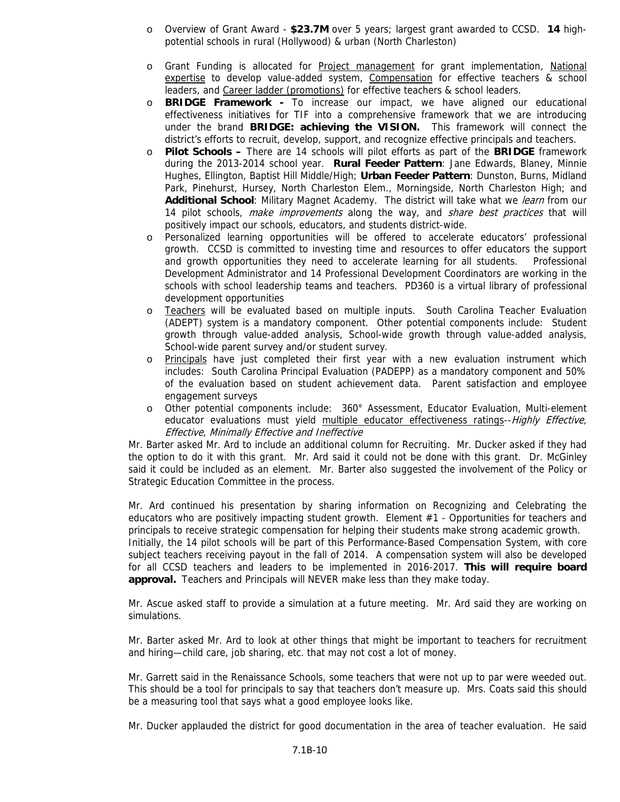- o Overview of Grant Award **\$23.7M** over 5 years; largest grant awarded to CCSD. **14** highpotential schools in rural (Hollywood) & urban (North Charleston)
- o Grant Funding is allocated for Project management for grant implementation, National expertise to develop value-added system, Compensation for effective teachers & school leaders, and Career ladder (promotions) for effective teachers & school leaders.
- o **BRIDGE Framework** To increase our impact, we have aligned our educational effectiveness initiatives for TIF into a comprehensive framework that we are introducing under the brand **BRIDGE: achieving the VISION.** This framework will connect the district's efforts to recruit, develop, support, and recognize effective principals and teachers.
- o **Pilot Schools** There are 14 schools will pilot efforts as part of the **BRIDGE** framework during the 2013-2014 school year. **Rural Feeder Pattern**: Jane Edwards, Blaney, Minnie Hughes, Ellington, Baptist Hill Middle/High; **Urban Feeder Pattern**: Dunston, Burns, Midland Park, Pinehurst, Hursey, North Charleston Elem., Morningside, North Charleston High; and **Additional School**: Military Magnet Academy. The district will take what we learn from our 14 pilot schools, make improvements along the way, and share best practices that will positively impact our schools, educators, and students district-wide.
- Personalized learning opportunities will be offered to accelerate educators' professional growth. CCSD is committed to investing time and resources to offer educators the support and growth opportunities they need to accelerate learning for all students. Professional Development Administrator and 14 Professional Development Coordinators are working in the schools with school leadership teams and teachers. PD360 is a virtual library of professional development opportunities
- o Teachers will be evaluated based on multiple inputs. South Carolina Teacher Evaluation (ADEPT) system is a mandatory component. Other potential components include: Student growth through value-added analysis, School-wide growth through value-added analysis, School-wide parent survey and/or student survey.
- o Principals have just completed their first year with a new evaluation instrument which includes: South Carolina Principal Evaluation (PADEPP) as a mandatory component and 50% of the evaluation based on student achievement data. Parent satisfaction and employee engagement surveys
- o Other potential components include: 360° Assessment, Educator Evaluation, Multi-element educator evaluations must yield multiple educator effectiveness ratings--Highly Effective, Effective, Minimally Effective and Ineffective

Mr. Barter asked Mr. Ard to include an additional column for Recruiting. Mr. Ducker asked if they had the option to do it with this grant. Mr. Ard said it could not be done with this grant. Dr. McGinley said it could be included as an element. Mr. Barter also suggested the involvement of the Policy or Strategic Education Committee in the process.

Mr. Ard continued his presentation by sharing information on Recognizing and Celebrating the educators who are positively impacting student growth. Element #1 - Opportunities for teachers and principals to receive strategic compensation for helping their students make strong academic growth. Initially, the 14 pilot schools will be part of this Performance-Based Compensation System, with core subject teachers receiving payout in the fall of 2014. A compensation system will also be developed for all CCSD teachers and leaders to be implemented in 2016-2017. **This will require board approval.** Teachers and Principals will NEVER make less than they make today.

Mr. Ascue asked staff to provide a simulation at a future meeting. Mr. Ard said they are working on simulations.

Mr. Barter asked Mr. Ard to look at other things that might be important to teachers for recruitment and hiring—child care, job sharing, etc. that may not cost a lot of money.

Mr. Garrett said in the Renaissance Schools, some teachers that were not up to par were weeded out. This should be a tool for principals to say that teachers don't measure up. Mrs. Coats said this should be a measuring tool that says what a good employee looks like.

Mr. Ducker applauded the district for good documentation in the area of teacher evaluation. He said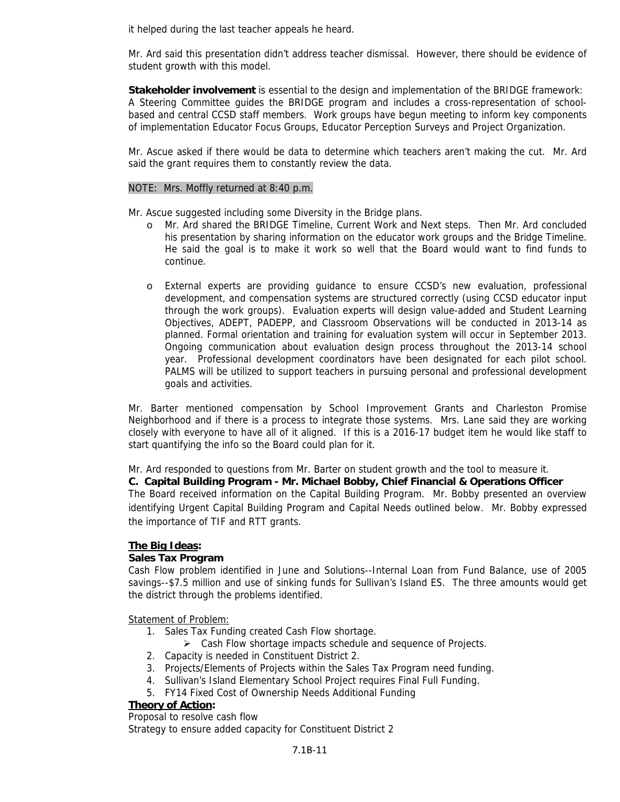it helped during the last teacher appeals he heard.

Mr. Ard said this presentation didn't address teacher dismissal. However, there should be evidence of student growth with this model.

**Stakeholder involvement** is essential to the design and implementation of the BRIDGE framework: A Steering Committee guides the BRIDGE program and includes a cross-representation of schoolbased and central CCSD staff members. Work groups have begun meeting to inform key components of implementation Educator Focus Groups, Educator Perception Surveys and Project Organization.

Mr. Ascue asked if there would be data to determine which teachers aren't making the cut. Mr. Ard said the grant requires them to constantly review the data.

#### NOTE: Mrs. Moffly returned at 8:40 p.m.

Mr. Ascue suggested including some Diversity in the Bridge plans.

- o Mr. Ard shared the BRIDGE Timeline, Current Work and Next steps. Then Mr. Ard concluded his presentation by sharing information on the educator work groups and the Bridge Timeline. He said the goal is to make it work so well that the Board would want to find funds to continue.
- o External experts are providing guidance to ensure CCSD's new evaluation, professional development, and compensation systems are structured correctly (using CCSD educator input through the work groups). Evaluation experts will design value-added and Student Learning Objectives, ADEPT, PADEPP, and Classroom Observations will be conducted in 2013-14 as planned. Formal orientation and training for evaluation system will occur in September 2013. Ongoing communication about evaluation design process throughout the 2013-14 school year. Professional development coordinators have been designated for each pilot school. PALMS will be utilized to support teachers in pursuing personal and professional development goals and activities.

Mr. Barter mentioned compensation by School Improvement Grants and Charleston Promise Neighborhood and if there is a process to integrate those systems. Mrs. Lane said they are working closely with everyone to have all of it aligned. If this is a 2016-17 budget item he would like staff to start quantifying the info so the Board could plan for it.

Mr. Ard responded to questions from Mr. Barter on student growth and the tool to measure it.

**C. Capital Building Program - Mr. Michael Bobby, Chief Financial & Operations Officer**  The Board received information on the Capital Building Program. Mr. Bobby presented an overview identifying Urgent Capital Building Program and Capital Needs outlined below. Mr. Bobby expressed

# **The Big Ideas:**

#### **Sales Tax Program**

the importance of TIF and RTT grants.

Cash Flow problem identified in June and Solutions--Internal Loan from Fund Balance, use of 2005 savings--\$7.5 million and use of sinking funds for Sullivan's Island ES. The three amounts would get the district through the problems identified.

Statement of Problem:

- 1. Sales Tax Funding created Cash Flow shortage.
	- $\triangleright$  Cash Flow shortage impacts schedule and sequence of Projects.
- 2. Capacity is needed in Constituent District 2.
- 3. Projects/Elements of Projects within the Sales Tax Program need funding.
- 4. Sullivan's Island Elementary School Project requires Final Full Funding.
- 5. FY14 Fixed Cost of Ownership Needs Additional Funding

# **Theory of Action:**

Proposal to resolve cash flow

Strategy to ensure added capacity for Constituent District 2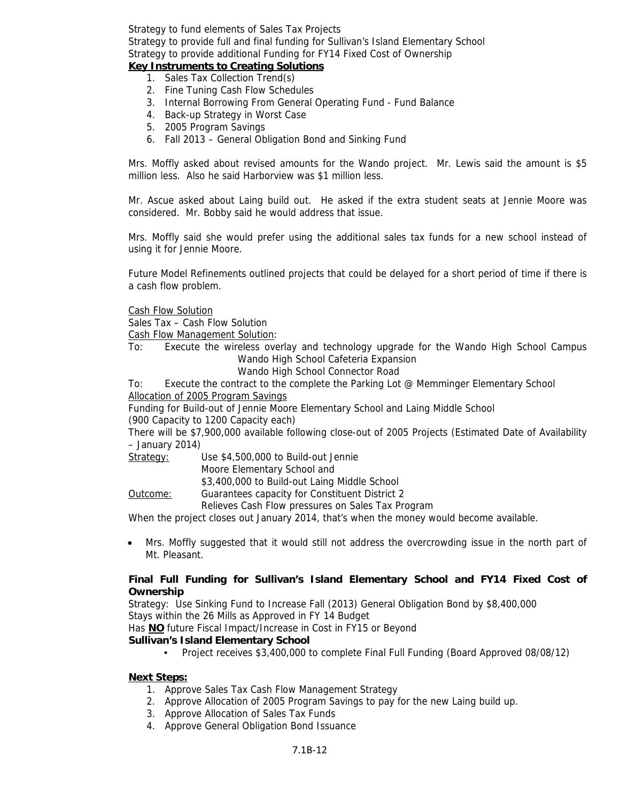Strategy to fund elements of Sales Tax Projects Strategy to provide full and final funding for Sullivan's Island Elementary School Strategy to provide additional Funding for FY14 Fixed Cost of Ownership

# **Key Instruments to Creating Solutions**

- 1. Sales Tax Collection Trend(s)
- 2. Fine Tuning Cash Flow Schedules
- 3. Internal Borrowing From General Operating Fund Fund Balance
- 4. Back-up Strategy in Worst Case
- 5. 2005 Program Savings
- 6. Fall 2013 General Obligation Bond and Sinking Fund

Mrs. Moffly asked about revised amounts for the Wando project. Mr. Lewis said the amount is \$5 million less. Also he said Harborview was \$1 million less.

Mr. Ascue asked about Laing build out. He asked if the extra student seats at Jennie Moore was considered. Mr. Bobby said he would address that issue.

Mrs. Moffly said she would prefer using the additional sales tax funds for a new school instead of using it for Jennie Moore.

Future Model Refinements outlined projects that could be delayed for a short period of time if there is a cash flow problem.

Cash Flow Solution

Sales Tax – Cash Flow Solution

Cash Flow Management Solution:

- To: Execute the wireless overlay and technology upgrade for the Wando High School Campus Wando High School Cafeteria Expansion
	- Wando High School Connector Road

To: Execute the contract to the complete the Parking Lot @ Memminger Elementary School Allocation of 2005 Program Savings

Funding for Build-out of Jennie Moore Elementary School and Laing Middle School

(900 Capacity to 1200 Capacity each)

There will be \$7,900,000 available following close-out of 2005 Projects (Estimated Date of Availability – January 2014)

Strategy: Use \$4,500,000 to Build-out Jennie

Moore Elementary School and

\$3,400,000 to Build-out Laing Middle School

Outcome: Guarantees capacity for Constituent District 2

Relieves Cash Flow pressures on Sales Tax Program

When the project closes out January 2014, that's when the money would become available.

• Mrs. Moffly suggested that it would still not address the overcrowding issue in the north part of Mt. Pleasant

# **Final Full Funding for Sullivan's Island Elementary School and FY14 Fixed Cost of Ownership**

Strategy: Use Sinking Fund to Increase Fall (2013) General Obligation Bond by \$8,400,000 Stays within the 26 Mills as Approved in FY 14 Budget

Has **NO** future Fiscal Impact/Increase in Cost in FY15 or Beyond

# **Sullivan's Island Elementary School**

• Project receives \$3,400,000 to complete Final Full Funding (Board Approved 08/08/12)

#### **Next Steps:**

- 1. Approve Sales Tax Cash Flow Management Strategy
- 2. Approve Allocation of 2005 Program Savings to pay for the new Laing build up.
- 3. Approve Allocation of Sales Tax Funds
- 4. Approve General Obligation Bond Issuance